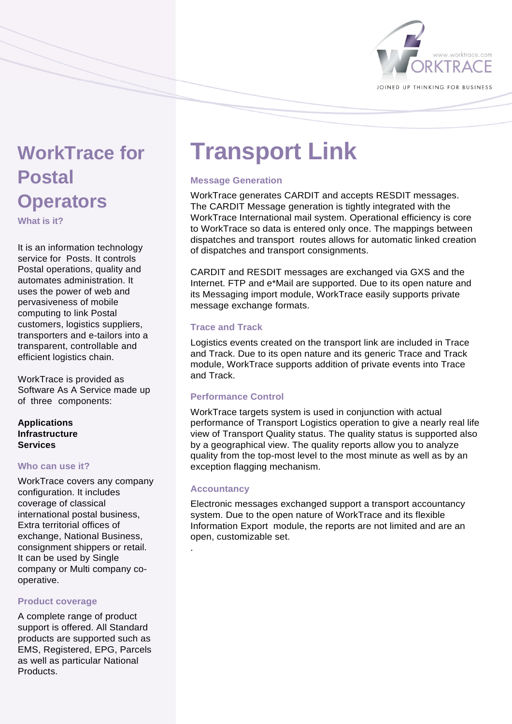

# **WorkTrace for Postal Operators**

**What is it?** 

It is an information technology service for Posts. It controls Postal operations, quality and automates administration. It uses the power of web and pervasiveness of mobile computing to link Postal customers, logistics suppliers, transporters and e-tailors into a transparent, controllable and efficient logistics chain.

WorkTrace is provided as Software As A Service made up of three components:

# **Applications Infrastructure Services**

# **Who can use it?**

WorkTrace covers any company configuration. It includes coverage of classical international postal business, Extra territorial offices of exchange, National Business, consignment shippers or retail. It can be used by Single company or Multi company cooperative.

# **Product coverage**

A complete range of product support is offered. All Standard products are supported such as EMS, Registered, EPG, Parcels as well as particular National **Products** 

# **Transport Link**

# **Message Generation**

WorkTrace generates CARDIT and accepts RESDIT messages. The CARDIT Message generation is tightly integrated with the WorkTrace International mail system. Operational efficiency is core to WorkTrace so data is entered only once. The mappings between dispatches and transport routes allows for automatic linked creation of dispatches and transport consignments.

CARDIT and RESDIT messages are exchanged via GXS and the Internet. FTP and e\*Mail are supported. Due to its open nature and its Messaging import module, WorkTrace easily supports private message exchange formats.

# **Trace and Track**

Logistics events created on the transport link are included in Trace and Track. Due to its open nature and its generic Trace and Track module, WorkTrace supports addition of private events into Trace and Track.

# **Performance Control**

WorkTrace targets system is used in conjunction with actual performance of Transport Logistics operation to give a nearly real life view of Transport Quality status. The quality status is supported also by a geographical view. The quality reports allow you to analyze quality from the top-most level to the most minute as well as by an exception flagging mechanism.

# **Accountancy**

.

Electronic messages exchanged support a transport accountancy system. Due to the open nature of WorkTrace and its flexible Information Export module, the reports are not limited and are an open, customizable set.